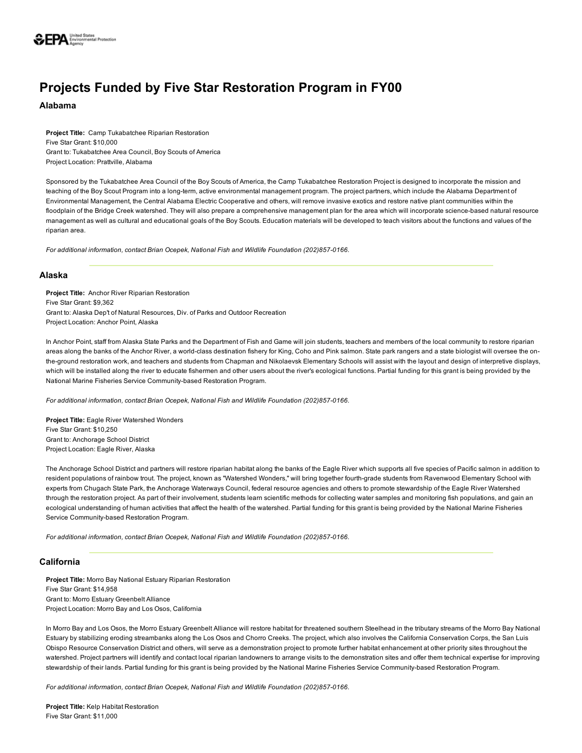

# Projects Funded by Five Star Restoration Program in FY00

Alabama

Project Title: Camp Tukabatchee Riparian Restoration Five Star Grant: \$10,000 Grant to: Tukabatchee Area Council, Boy Scouts of America Project Location: Prattville, Alabama

Sponsored by the Tukabatchee Area Council of the Boy Scouts of America, the Camp Tukabatchee Restoration Project is designed to incorporate the mission and teaching of the Boy Scout Program into a long-term, active environmental management program. The project partners, which include the Alabama Department of Environmental Management, the Central Alabama Electric Cooperative and others, will remove invasive exotics and restore native plant communities within the floodplain of the Bridge Creek watershed. They will also prepare a comprehensive management plan for the area which will incorporate science-based natural resource management as well as cultural and educational goals of the Boy Scouts. Education materials will be developed to teach visitors about the functions and values of the riparian area.

For additional information, contact Brian Ocepek, National Fish and Wildlife Foundation (202)857-0166.

## Alaska

Project Title: Anchor River Riparian Restoration Five Star Grant: \$9,362 Grant to: Alaska Dep't of Natural Resources, Div. of Parks and Outdoor Recreation Project Location: Anchor Point, Alaska

In Anchor Point, staff from Alaska State Parks and the Department of Fish and Game will join students, teachers and members of the local community to restore riparian areas along the banks of the Anchor River, a world-class destination fishery for King, Coho and Pink salmon. State park rangers and a state biologist will oversee the onthe-ground restoration work, and teachers and students from Chapman and Nikolaevsk Elementary Schools will assist with the layout and design of interpretive displays, which will be installed along the river to educate fishermen and other users about the river's ecological functions. Partial funding for this grant is being provided by the National Marine Fisheries Service Community-based Restoration Program.

*For additional information, contact Brian Ocepek, National Fish and Wildlife Foundation (202)8570166.*

Project Title: Eagle River Watershed Wonders Five Star Grant: \$10,250 Grant to: Anchorage School District Project Location: Eagle River, Alaska

The Anchorage School District and partners will restore riparian habitat along the banks of the Eagle River which supports all five species of Pacific salmon in addition to resident populations of rainbow trout. The project, known as "Watershed Wonders," will bring together fourth-grade students from Ravenwood Elementary School with experts from Chugach State Park, the Anchorage Waterways Council, federal resource agencies and others to promote stewardship of the Eagle River Watershed through the restoration project. As part of their involvement, students learn scientific methods for collecting water samples and monitoring fish populations, and gain an ecological understanding of human activities that affect the health of the watershed. Partial funding for this grant is being provided by the National Marine Fisheries Service Community-based Restoration Program.

*For additional information, contact Brian Ocepek, National Fish and Wildlife Foundation (202)857-0166.* 

## California

Project Title: Morro Bay National Estuary Riparian Restoration Five Star Grant: \$14,958 Grant to: Morro Estuary Greenbelt Alliance Project Location: Morro Bay and Los Osos, California

In Morro Bay and Los Osos, the Morro Estuary Greenbelt Alliance will restore habitat for threatened southern Steelhead in the tributary streams of the Morro Bay National Estuary by stabilizing eroding streambanks along the Los Osos and Chorro Creeks. The project, which also involves the California Conservation Corps, the San Luis Obispo Resource Conservation District and others, will serve as a demonstration project to promote further habitat enhancement at other priority sites throughout the watershed. Project partners will identify and contact local riparian landowners to arrange visits to the demonstration sites and offer them technical expertise for improving stewardship of their lands. Partial funding for this grant is being provided by the National Marine Fisheries Service Community-based Restoration Program.

For additional information, contact Brian Ocepek, National Fish and Wildlife Foundation (202)857-0166.

Project Title: Kelp Habitat Restoration Five Star Grant: \$11,000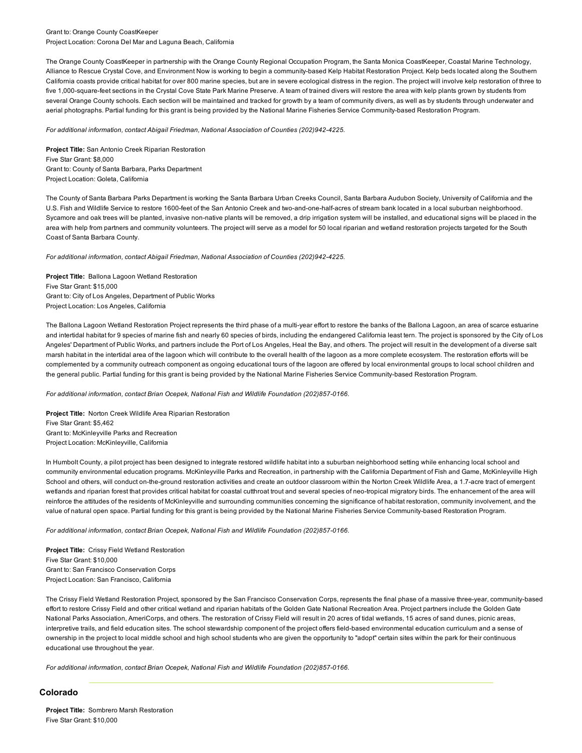#### Grant to: Orange County CoastKeeper Project Location: Corona Del Mar and Laguna Beach, California

The Orange County CoastKeeper in partnership with the Orange County Regional Occupation Program, the Santa Monica CoastKeeper, Coastal Marine Technology, Alliance to Rescue Crystal Cove, and Environment Now is working to begin a community-based Kelp Habitat Restoration Project. Kelp beds located along the Southern California coasts provide critical habitat for over 800 marine species, but are in severe ecological distress in the region. The project will involve kelp restoration of three to five 1,000-square-feet sections in the Crystal Cove State Park Marine Preserve. A team of trained divers will restore the area with kelp plants grown by students from several Orange County schools. Each section will be maintained and tracked for growth by a team of community divers, as well as by students through underwater and aerial photographs. Partial funding for this grant is being provided by the National Marine Fisheries Service Community-based Restoration Program.

#### For additional information, contact Abigail Friedman, National Association of Counties (202)942-4225.

Project Title: San Antonio Creek Riparian Restoration Five Star Grant: \$8,000 Grant to: County of Santa Barbara, Parks Department Project Location: Goleta, California

The County of Santa Barbara Parks Department is working the Santa Barbara Urban Creeks Council, Santa Barbara Audubon Society, University of California and the U.S. Fish and Wildlife Service to restore 1600-feet of the San Antonio Creek and two-and-one-half-acres of stream bank located in a local suburban neighborhood. Sycamore and oak trees will be planted, invasive non-native plants will be removed, a drip irrigation system will be installed, and educational signs will be placed in the area with help from partners and community volunteers. The project will serve as a model for 50 local riparian and wetland restoration projects targeted for the South Coast of Santa Barbara County.

#### *For additional information, contact Abigail Friedman, National Association of Counties (202)9424225.*

Project Title: Ballona Lagoon Wetland Restoration Five Star Grant: \$15,000 Grant to: City of Los Angeles, Department of Public Works Project Location: Los Angeles, California

The Ballona Lagoon Wetland Restoration Project represents the third phase of a multi-year effort to restore the banks of the Ballona Lagoon, an area of scarce estuarine and intertidal habitat for 9 species of marine fish and nearly 60 species of birds, including the endangered California least tern. The project is sponsored by the City of Los Angeles' Department of Public Works, and partners include the Port of Los Angeles, Heal the Bay, and others. The project will result in the development of a diverse salt marsh habitat in the intertidal area of the lagoon which will contribute to the overall health of the lagoon as a more complete ecosystem. The restoration efforts will be complemented by a community outreach component as ongoing educational tours of the lagoon are offered by local environmental groups to local school children and the general public. Partial funding for this grant is being provided by the National Marine Fisheries Service Community-based Restoration Program.

#### For additional information, contact Brian Ocepek, National Fish and Wildlife Foundation (202)857-0166.

Project Title: Norton Creek Wildlife Area Riparian Restoration Five Star Grant: \$5,462 Grant to: McKinleyville Parks and Recreation Project Location: McKinleyville, California

In Humbolt County, a pilot project has been designed to integrate restored wildlife habitat into a suburban neighborhood setting while enhancing local school and community environmental education programs. McKinleyville Parks and Recreation, in partnership with the California Department of Fish and Game, McKinleyville High School and others, will conduct on-the-ground restoration activities and create an outdoor classroom within the Norton Creek Wildlife Area, a 1.7-acre tract of emergent wetlands and riparian forest that provides critical habitat for coastal cutthroat trout and several species of neo-tropical migratory birds. The enhancement of the area will reinforce the attitudes of the residents of McKinleyville and surrounding communities concerning the significance of habitat restoration, community involvement, and the value of natural open space. Partial funding for this grant is being provided by the National Marine Fisheries Service Community-based Restoration Program.

For additional information, contact Brian Ocepek, National Fish and Wildlife Foundation (202)857-0166.

Project Title: Crissy Field Wetland Restoration Five Star Grant: \$10,000 Grant to: San Francisco Conservation Corps Project Location: San Francisco, California

The Crissy Field Wetland Restoration Project, sponsored by the San Francisco Conservation Corps, represents the final phase of a massive three-year, community-based effort to restore Crissy Field and other critical wetland and riparian habitats of the Golden Gate National Recreation Area. Project partners include the Golden Gate National Parks Association, AmeriCorps, and others. The restoration of Crissy Field will result in 20 acres of tidal wetlands, 15 acres of sand dunes, picnic areas, interpretive trails, and field education sites. The school stewardship component of the project offers field-based environmental education curriculum and a sense of ownership in the project to local middle school and high school students who are given the opportunity to "adopt" certain sites within the park for their continuous educational use throughout the year.

For additional information, contact Brian Ocepek, National Fish and Wildlife Foundation (202)857-0166.

# Colorado

Project Title: Sombrero Marsh Restoration Five Star Grant: \$10,000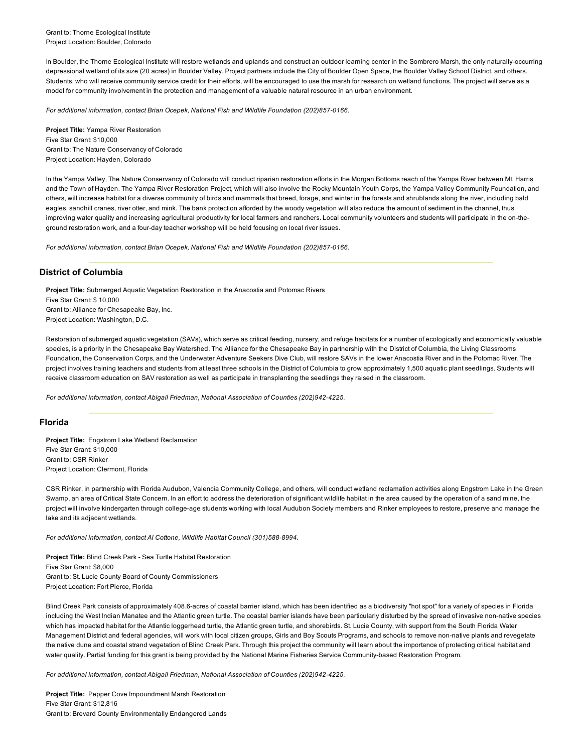In Boulder, the Thorne Ecological Institute will restore wetlands and uplands and construct an outdoor learning center in the Sombrero Marsh, the only naturally-occurring depressional wetland of its size (20 acres) in Boulder Valley. Project partners include the City of Boulder Open Space, the Boulder Valley School District, and others. Students, who will receive community service credit for their efforts, will be encouraged to use the marsh for research on wetland functions. The project will serve as a model for community involvement in the protection and management of a valuable natural resource in an urban environment.

For additional information, contact Brian Ocepek, National Fish and Wildlife Foundation (202)857-0166.

Project Title: Yampa River Restoration Five Star Grant: \$10,000 Grant to: The Nature Conservancy of Colorado Project Location: Hayden, Colorado

In the Yampa Valley, The Nature Conservancy of Colorado will conduct riparian restoration efforts in the Morgan Bottoms reach of the Yampa River between Mt. Harris and the Town of Hayden. The Yampa River Restoration Project, which will also involve the Rocky Mountain Youth Corps, the Yampa Valley Community Foundation, and others, will increase habitat for a diverse community of birds and mammals that breed, forage, and winter in the forests and shrublands along the river, including bald eagles, sandhill cranes, river otter, and mink. The bank protection afforded by the woody vegetation will also reduce the amount of sediment in the channel, thus improving water quality and increasing agricultural productivity for local farmers and ranchers. Local community volunteers and students will participate in the on-theground restoration work, and a four-day teacher workshop will be held focusing on local river issues.

For additional information, contact Brian Ocepek, National Fish and Wildlife Foundation (202)857-0166.

# District of Columbia

Project Title: Submerged Aquatic Vegetation Restoration in the Anacostia and Potomac Rivers Five Star Grant: \$ 10,000 Grant to: Alliance for Chesapeake Bay, Inc. Project Location: Washington, D.C.

Restoration of submerged aquatic vegetation (SAVs), which serve as critical feeding, nursery, and refuge habitats for a number of ecologically and economically valuable species, is a priority in the Chesapeake Bay Watershed. The Alliance for the Chesapeake Bay in partnership with the District of Columbia, the Living Classrooms Foundation, the Conservation Corps, and the Underwater Adventure Seekers Dive Club, will restore SAVs in the lower Anacostia River and in the Potomac River. The project involves training teachers and students from at least three schools in the District of Columbia to grow approximately 1,500 aquatic plant seedlings. Students will receive classroom education on SAV restoration as well as participate in transplanting the seedlings they raised in the classroom.

*For additional information, contact Abigail Friedman, National Association of Counties (202)9424225.*

# Florida

Project Title: Engstrom Lake Wetland Reclamation Five Star Grant: \$10,000 Grant to: CSR Rinker Project Location: Clermont, Florida

CSR Rinker, in partnership with Florida Audubon, Valencia Community College, and others, will conduct wetland reclamation activities along Engstrom Lake in the Green Swamp, an area of Critical State Concern. In an effort to address the deterioration of significant wildlife habitat in the area caused by the operation of a sand mine, the project will involve kindergarten through college-age students working with local Audubon Society members and Rinker employees to restore, preserve and manage the lake and its adjacent wetlands.

For additional information, contact Al Cottone, Wildlife Habitat Council (301)588-8994.

Project Title: Blind Creek Park - Sea Turtle Habitat Restoration Five Star Grant: \$8,000 Grant to: St. Lucie County Board of County Commissioners Project Location: Fort Pierce, Florida

Blind Creek Park consists of approximately 408.6-acres of coastal barrier island, which has been identified as a biodiversity "hot spot" for a variety of species in Florida including the West Indian Manatee and the Atlantic green turtle. The coastal barrier islands have been particularly disturbed by the spread of invasive non-native species which has impacted habitat for the Atlantic loggerhead turtle, the Atlantic green turtle, and shorebirds. St. Lucie County, with support from the South Florida Water Management District and federal agencies, will work with local citizen groups, Girls and Boy Scouts Programs, and schools to remove non-native plants and revegetate the native dune and coastal strand vegetation of Blind Creek Park. Through this project the community will learn about the importance of protecting critical habitat and water quality. Partial funding for this grant is being provided by the National Marine Fisheries Service Community-based Restoration Program.

*For additional information, contact Abigail Friedman, National Association of Counties (202)9424225.*

Project Title: Pepper Cove Impoundment Marsh Restoration Five Star Grant: \$12,816 Grant to: Brevard County Environmentally Endangered Lands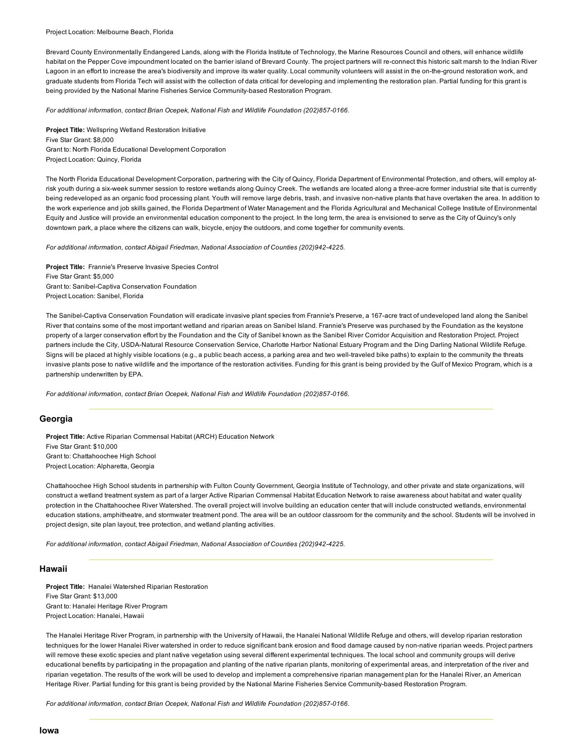#### Project Location: Melbourne Beach, Florida

Brevard County Environmentally Endangered Lands, along with the Florida Institute of Technology, the Marine Resources Council and others, will enhance wildlife habitat on the Pepper Cove impoundment located on the barrier island of Brevard County. The project partners will re-connect this historic salt marsh to the Indian River Lagoon in an effort to increase the area's biodiversity and improve its water quality. Local community volunteers will assist in the on-the-ground restoration work, and graduate students from Florida Tech will assist with the collection of data critical for developing and implementing the restoration plan. Partial funding for this grant is being provided by the National Marine Fisheries Service Community-based Restoration Program.

For additional information, contact Brian Ocepek, National Fish and Wildlife Foundation (202)857-0166.

Project Title: Wellspring Wetland Restoration Initiative Five Star Grant: \$8,000 Grant to: North Florida Educational Development Corporation Project Location: Quincy, Florida

The North Florida Educational Development Corporation, partnering with the City of Quincy, Florida Department of Environmental Protection, and others, will employ atrisk youth during a six-week summer session to restore wetlands along Quincy Creek. The wetlands are located along a three-acre former industrial site that is currently being redeveloped as an organic food processing plant. Youth will remove large debris, trash, and invasive non-native plants that have overtaken the area. In addition to the work experience and job skills gained, the Florida Department of Water Management and the Florida Agricultural and Mechanical College Institute of Environmental Equity and Justice will provide an environmental education component to the project. In the long term, the area is envisioned to serve as the City of Quincy's only downtown park, a place where the citizens can walk, bicycle, enjoy the outdoors, and come together for community events.

*For additional information, contact Abigail Friedman, National Association of Counties (202)9424225.*

Project Title: Frannie's Preserve Invasive Species Control Five Star Grant: \$5,000 Grant to: Sanibel-Captiva Conservation Foundation Project Location: Sanibel, Florida

The Sanibel-Captiva Conservation Foundation will eradicate invasive plant species from Frannie's Preserve, a 167-acre tract of undeveloped land along the Sanibel River that contains some of the most important wetland and riparian areas on Sanibel Island. Frannie's Preserve was purchased by the Foundation as the keystone property of a larger conservation effort by the Foundation and the City of Sanibel known as the Sanibel River Corridor Acquisition and Restoration Project. Project partners include the City, USDA-Natural Resource Conservation Service, Charlotte Harbor National Estuary Program and the Ding Darling National Wildlife Refuge. Signs will be placed at highly visible locations (e.g., a public beach access, a parking area and two well-traveled bike paths) to explain to the community the threats invasive plants pose to native wildlife and the importance of the restoration activities. Funding for this grant is being provided by the Gulf of Mexico Program, which is a partnership underwritten by EPA.

For additional information, contact Brian Ocepek, National Fish and Wildlife Foundation (202)857-0166.

## Georgia

Project Title: Active Riparian Commensal Habitat (ARCH) Education Network Five Star Grant: \$10,000 Grant to: Chattahoochee High School Project Location: Alpharetta, Georgia

Chattahoochee High School students in partnership with Fulton County Government, Georgia Institute of Technology, and other private and state organizations, will construct a wetland treatment system as part of a larger Active Riparian Commensal Habitat Education Network to raise awareness about habitat and water quality protection in the Chattahoochee River Watershed. The overall project will involve building an education center that will include constructed wetlands, environmental education stations, amphitheatre, and stormwater treatment pond. The area will be an outdoor classroom for the community and the school. Students will be involved in project design, site plan layout, tree protection, and wetland planting activities.

*For additional information, contact Abigail Friedman, National Association of Counties (202)9424225.*

#### Hawaii

Project Title: Hanalei Watershed Riparian Restoration Five Star Grant: \$13,000 Grant to: Hanalei Heritage River Program Project Location: Hanalei, Hawaii

The Hanalei Heritage River Program, in partnership with the University of Hawaii, the Hanalei National Wildlife Refuge and others, will develop riparian restoration techniques for the lower Hanalei River watershed in order to reduce significant bank erosion and flood damage caused by non-native riparian weeds. Project partners will remove these exotic species and plant native vegetation using several different experimental techniques. The local school and community groups will derive educational benefits by participating in the propagation and planting of the native riparian plants, monitoring of experimental areas, and interpretation of the river and riparian vegetation. The results of the work will be used to develop and implement a comprehensive riparian management plan for the Hanalei River, an American Heritage River. Partial funding for this grant is being provided by the National Marine Fisheries Service Communitybased Restoration Program.

For additional information, contact Brian Ocepek, National Fish and Wildlife Foundation (202)857-0166.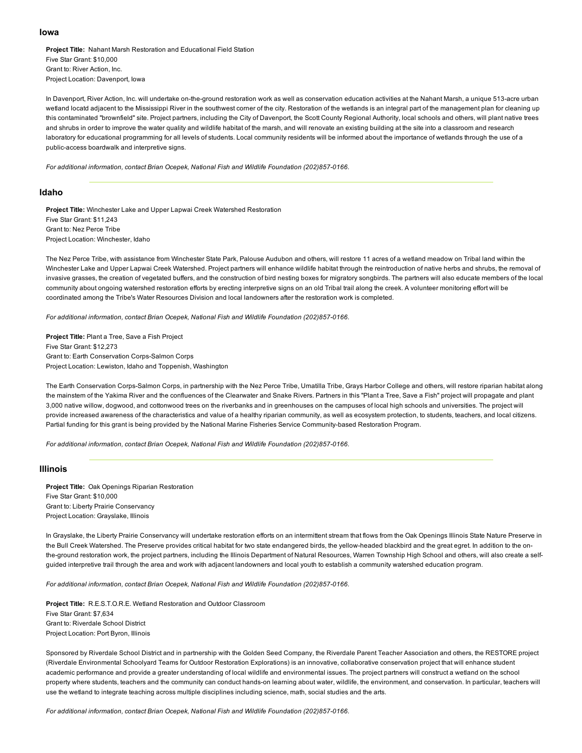#### Iowa

Project Title: Nahant Marsh Restoration and Educational Field Station Five Star Grant: \$10,000 Grant to: River Action, Inc. Project Location: Davenport, Iowa

In Davenport, River Action, Inc. will undertake on-the-ground restoration work as well as conservation education activities at the Nahant Marsh, a unique 513-acre urban wetland locatd adjacent to the Mississippi River in the southwest corner of the city. Restoration of the wetlands is an integral part of the management plan for cleaning up this contaminated "brownfield" site. Project partners, including the City of Davenport, the Scott County Regional Authority, local schools and others, will plant native trees and shrubs in order to improve the water quality and wildlife habitat of the marsh, and will renovate an existing building at the site into a classroom and research laboratory for educational programming for all levels of students. Local community residents will be informed about the importance of wetlands through the use of a public-access boardwalk and interpretive signs.

*For additional information, contact Brian Ocepek, National Fish and Wildlife Foundation (202)8570166.*

#### Idaho

Project Title: Winchester Lake and Upper Lapwai Creek Watershed Restoration Five Star Grant: \$11,243 Grant to: Nez Perce Tribe Project Location: Winchester, Idaho

The Nez Perce Tribe, with assistance from Winchester State Park, Palouse Audubon and others, will restore 11 acres of a wetland meadow on Tribal land within the Winchester Lake and Upper Lapwai Creek Watershed. Project partners will enhance wildlife habitat through the reintroduction of native herbs and shrubs, the removal of invasive grasses, the creation of vegetated buffers, and the construction of bird nesting boxes for migratory songbirds. The partners will also educate members of the local community about ongoing watershed restoration efforts by erecting interpretive signs on an old Tribal trail along the creek. A volunteer monitoring effort will be coordinated among the Tribe's Water Resources Division and local landowners after the restoration work is completed.

For additional information, contact Brian Ocepek, National Fish and Wildlife Foundation (202)857-0166.

Project Title: Plant a Tree, Save a Fish Project Five Star Grant: \$12,273 Grant to: Earth Conservation Corps-Salmon Corps Project Location: Lewiston, Idaho and Toppenish, Washington

The Earth Conservation Corps-Salmon Corps, in partnership with the Nez Perce Tribe, Umatilla Tribe, Grays Harbor College and others, will restore riparian habitat along the mainstem of the Yakima River and the confluences of the Clearwater and Snake Rivers. Partners in this "Plant a Tree, Save a Fish" project will propagate and plant 3,000 native willow, dogwood, and cottonwood trees on the riverbanks and in greenhouses on the campuses of local high schools and universities. The project will provide increased awareness of the characteristics and value of a healthy riparian community, as well as ecosystem protection, to students, teachers, and local citizens. Partial funding for this grant is being provided by the National Marine Fisheries Service Community-based Restoration Program.

For additional information, contact Brian Ocepek, National Fish and Wildlife Foundation (202)857-0166.

### Illinois

Project Title: Oak Openings Riparian Restoration Five Star Grant: \$10,000 Grant to: Liberty Prairie Conservancy Project Location: Grayslake, Illinois

In Grayslake, the Liberty Prairie Conservancy will undertake restoration efforts on an intermittent stream that flows from the Oak Openings Illinois State Nature Preserve in the Bull Creek Watershed. The Preserve provides critical habitat for two state endangered birds, the yellowheaded blackbird and the great egret. In addition to the onthe-ground restoration work, the project partners, including the Illinois Department of Natural Resources, Warren Township High School and others, will also create a selfguided interpretive trail through the area and work with adjacent landowners and local youth to establish a community watershed education program.

For additional information, contact Brian Ocepek, National Fish and Wildlife Foundation (202)857-0166.

Project Title: R.E.S.T.O.R.E. Wetland Restoration and Outdoor Classroom Five Star Grant: \$7,634 Grant to: Riverdale School District Project Location: Port Byron, Illinois

Sponsored by Riverdale School District and in partnership with the Golden Seed Company, the Riverdale Parent Teacher Association and others, the RESTORE project (Riverdale Environmental Schoolyard Teams for Outdoor Restoration Explorations) is an innovative, collaborative conservation project that will enhance student academic performance and provide a greater understanding of local wildlife and environmental issues. The project partners will construct a wetland on the school property where students, teachers and the community can conduct hands-on learning about water, wildlife, the environment, and conservation. In particular, teachers will use the wetland to integrate teaching across multiple disciplines including science, math, social studies and the arts.

For additional information, contact Brian Ocepek, National Fish and Wildlife Foundation (202)857-0166.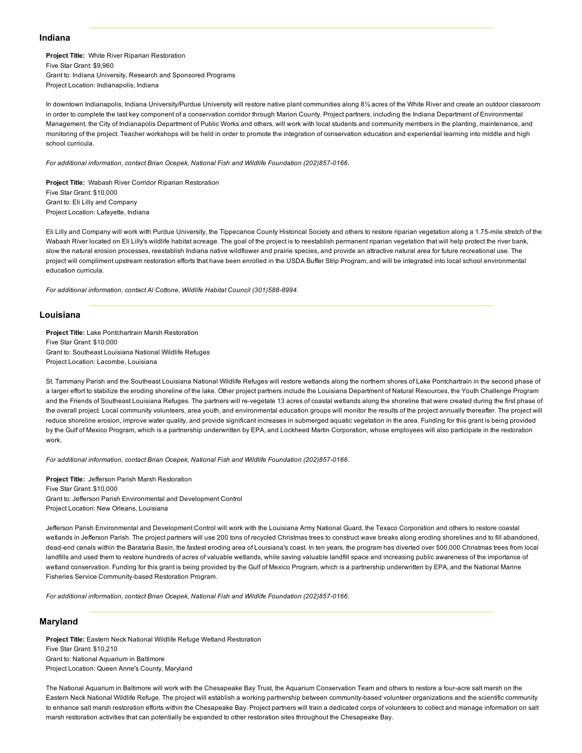## Indiana

Project Title: White River Riparian Restoration Five Star Grant: \$9,960 Grant to: Indiana University, Research and Sponsored Programs Project Location: Indianapolis, Indiana

In downtown Indianapolis, Indiana University/Purdue University will restore native plant communities along 8½ acres of the White River and create an outdoor classroom in order to complete the last key component of a conservation corridor through Marion County. Project partners, including the Indiana Department of Environmental Management, the City of Indianapolis Department of Public Works and others, will work with local students and community members in the planting, maintenance, and monitoring of the project. Teacher workshops will be held in order to promote the integration of conservation education and experiential learning into middle and high school curricula.

For additional information, contact Brian Ocepek, National Fish and Wildlife Foundation (202)857-0166.

Project Title: Wabash River Corridor Riparian Restoration Five Star Grant: \$10,000 Grant to: Eli Lilly and Company Project Location: Lafayette, Indiana

Eli Lilly and Company will work with Purdue University, the Tippecanoe County Historical Society and others to restore riparian vegetation along a 1.75-mile stretch of the Wabash River located on Eli Lilly's wildlife habitat acreage. The goal of the project is to reestablish permanent riparian vegetation that will help protect the river bank, slow the natural erosion processes, reestablish Indiana native wildflower and prairie species, and provide an attractive natural area for future recreational use. The project will compliment upstream restoration efforts that have been enrolled in the USDA Buffer Strip Program, and will be integrated into local school environmental education curricula.

For additional information, contact Al Cottone, Wildlife Habitat Council (301)588-8994.

### Louisiana

Project Title: Lake Pontchartrain Marsh Restoration Five Star Grant: \$10,000 Grant to: Southeast Louisiana National Wildlife Refuges Project Location: Lacombe, Louisiana

St. Tammany Parish and the Southeast Louisiana National Wildlife Refuges will restore wetlands along the northern shores of Lake Pontchartrain in the second phase of a larger effort to stabilize the eroding shoreline of the lake. Other project partners include the Louisiana Department of Natural Resources, the Youth Challenge Program and the Friends of Southeast Louisiana Refuges. The partners will re-vegetate 13 acres of coastal wetlands along the shoreline that were created during the first phase of the overall project. Local community volunteers, area youth, and environmental education groups will monitor the results of the project annually thereafter. The project will reduce shoreline erosion, improve water quality, and provide significant increases in submerged aquatic vegetation in the area. Funding for this grant is being provided by the Gulf of Mexico Program, which is a partnership underwritten by EPA, and Lockheed Martin Corporation, whose employees will also participate in the restoration work.

*For additional information, contact Brian Ocepek, National Fish and Wildlife Foundation (202)8570166.*

Project Title: Jefferson Parish Marsh Restoration Five Star Grant: \$10,000 Grant to: Jefferson Parish Environmental and Development Control Project Location: New Orleans, Louisiana

Jefferson Parish Environmental and Development Control will work with the Louisiana Army National Guard, the Texaco Corporation and others to restore coastal wetlands in Jefferson Parish. The project partners will use 200 tons of recycled Christmas trees to construct wave breaks along eroding shorelines and to fill abandoned, dead-end canals within the Barataria Basin, the fastest eroding area of Louisiana's coast. In ten years, the program has diverted over 500,000 Christmas trees from local landfills and used them to restore hundreds of acres of valuable wetlands, while saving valuable landfill space and increasing public awareness of the importance of wetland conservation. Funding for this grant is being provided by the Gulf of Mexico Program, which is a partnership underwritten by EPA, and the National Marine Fisheries Service Community-based Restoration Program.

For additional information, contact Brian Ocepek, National Fish and Wildlife Foundation (202)857-0166.

#### Maryland

Project Title: Eastern Neck National Wildlife Refuge Wetland Restoration Five Star Grant: \$10,210 Grant to: National Aquarium in Baltimore Project Location: Queen Anne's County, Maryland

The National Aquarium in Baltimore will work with the Chesapeake Bay Trust, the Aquarium Conservation Team and others to restore a fouracre salt marsh on the Eastern Neck National Wildlife Refuge. The project will establish a working partnership between community-based volunteer organizations and the scientific community to enhance salt marsh restoration efforts within the Chesapeake Bay. Project partners will train a dedicated corps of volunteers to collect and manage information on salt marsh restoration activities that can potentially be expanded to other restoration sites throughout the Chesapeake Bay.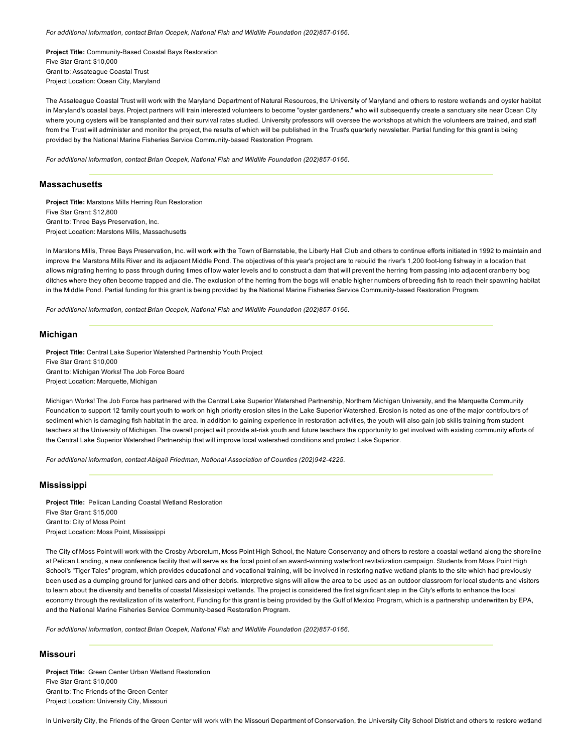For additional information, contact Brian Ocepek, National Fish and Wildlife Foundation (202)857-0166.

Project Title: Community-Based Coastal Bays Restoration Five Star Grant: \$10,000 Grant to: Assateague Coastal Trust Project Location: Ocean City, Maryland

The Assateague Coastal Trust will work with the Maryland Department of Natural Resources, the University of Maryland and others to restore wetlands and oyster habitat in Maryland's coastal bays. Project partners will train interested volunteers to become "oyster gardeners," who will subsequently create a sanctuary site near Ocean City where young oysters will be transplanted and their survival rates studied. University professors will oversee the workshops at which the volunteers are trained, and staff from the Trust will administer and monitor the project, the results of which will be published in the Trust's quarterly newsletter. Partial funding for this grant is being provided by the National Marine Fisheries Service Community-based Restoration Program.

*For additional information, contact Brian Ocepek, National Fish and Wildlife Foundation (202)857-0166.* 

#### **Massachusetts**

Project Title: Marstons Mills Herring Run Restoration Five Star Grant: \$12,800 Grant to: Three Bays Preservation, Inc. Project Location: Marstons Mills, Massachusetts

In Marstons Mills, Three Bays Preservation, Inc. will work with the Town of Barnstable, the Liberty Hall Club and others to continue efforts initiated in 1992 to maintain and improve the Marstons Mills River and its adjacent Middle Pond. The objectives of this year's project are to rebuild the river's 1,200 foot-long fishway in a location that allows migrating herring to pass through during times of low water levels and to construct a dam that will prevent the herring from passing into adjacent cranberry bog ditches where they often become trapped and die. The exclusion of the herring from the bogs will enable higher numbers of breeding fish to reach their spawning habitat in the Middle Pond. Partial funding for this grant is being provided by the National Marine Fisheries Service Community-based Restoration Program.

For additional information, contact Brian Ocepek, National Fish and Wildlife Foundation (202)857-0166.

## Michigan

Project Title: Central Lake Superior Watershed Partnership Youth Project Five Star Grant: \$10,000 Grant to: Michigan Works! The Job Force Board Project Location: Marquette, Michigan

Michigan Works! The Job Force has partnered with the Central Lake Superior Watershed Partnership, Northern Michigan University, and the Marquette Community Foundation to support 12 family court youth to work on high priority erosion sites in the Lake Superior Watershed. Erosion is noted as one of the major contributors of sediment which is damaging fish habitat in the area. In addition to gaining experience in restoration activities, the youth will also gain job skills training from student teachers at the University of Michigan. The overall project will provide atrisk youth and future teachers the opportunity to get involved with existing community efforts of the Central Lake Superior Watershed Partnership that will improve local watershed conditions and protect Lake Superior.

*For additional information, contact Abigail Friedman, National Association of Counties (202)9424225.*

# Mississippi

Project Title: Pelican Landing Coastal Wetland Restoration Five Star Grant: \$15,000 Grant to: City of Moss Point Project Location: Moss Point, Mississippi

The City of Moss Point will work with the Crosby Arboretum, Moss Point High School, the Nature Conservancy and others to restore a coastal wetland along the shoreline at Pelican Landing, a new conference facility that will serve as the focal point of an award-winning waterfront revitalization campaign. Students from Moss Point High School's "Tiger Tales" program, which provides educational and vocational training, will be involved in restoring native wetland plants to the site which had previously been used as a dumping ground for junked cars and other debris. Interpretive signs will allow the area to be used as an outdoor classroom for local students and visitors to learn about the diversity and benefits of coastal Mississippi wetlands. The project is considered the first significant step in the City's efforts to enhance the local economy through the revitalization of its waterfront. Funding for this grant is being provided by the Gulf of Mexico Program, which is a partnership underwritten by EPA, and the National Marine Fisheries Service Community-based Restoration Program.

For additional information, contact Brian Ocepek, National Fish and Wildlife Foundation (202)857-0166.

#### Missouri

Project Title: Green Center Urban Wetland Restoration Five Star Grant: \$10,000 Grant to: The Friends of the Green Center Project Location: University City, Missouri

In University City, the Friends of the Green Center will work with the Missouri Department of Conservation, the University City School District and others to restore wetland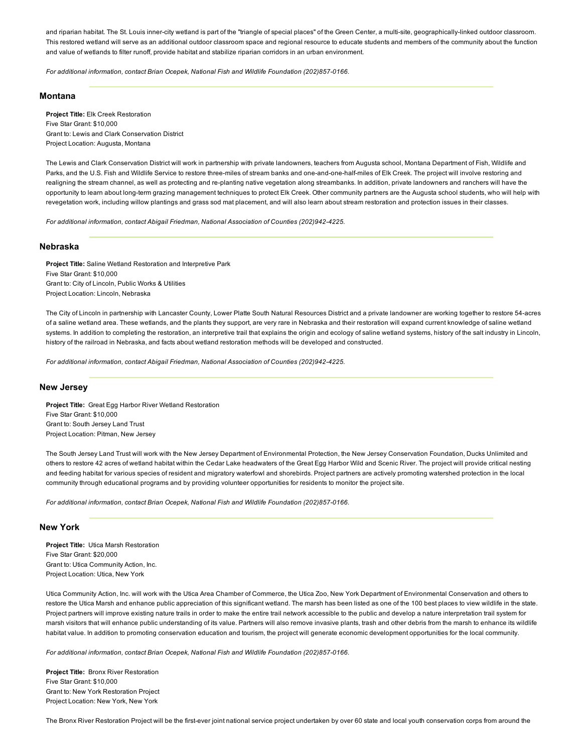and riparian habitat. The St. Louis inner-city wetland is part of the "triangle of special places" of the Green Center, a multi-site, geographically-linked outdoor classroom. This restored wetland will serve as an additional outdoor classroom space and regional resource to educate students and members of the community about the function and value of wetlands to filter runoff, provide habitat and stabilize riparian corridors in an urban environment.

*For additional information, contact Brian Ocepek, National Fish and Wildlife Foundation (202)857-0166.* 

### Montana

Project Title: Elk Creek Restoration Five Star Grant: \$10,000 Grant to: Lewis and Clark Conservation District Project Location: Augusta, Montana

The Lewis and Clark Conservation District will work in partnership with private landowners, teachers from Augusta school, Montana Department of Fish, Wildlife and Parks, and the U.S. Fish and Wildlife Service to restore three-miles of stream banks and one-and-one-half-miles of Elk Creek. The project will involve restoring and realigning the stream channel, as well as protecting and re-planting native vegetation along streambanks. In addition, private landowners and ranchers will have the opportunity to learn about long-term grazing management techniques to protect Elk Creek. Other community partners are the Augusta school students, who will help with revegetation work, including willow plantings and grass sod mat placement, and will also learn about stream restoration and protection issues in their classes.

*For additional information, contact Abigail Friedman, National Association of Counties (202)9424225.*

# Nebraska

Project Title: Saline Wetland Restoration and Interpretive Park Five Star Grant: \$10,000 Grant to: City of Lincoln, Public Works & Utilities Project Location: Lincoln, Nebraska

The City of Lincoln in partnership with Lancaster County, Lower Platte South Natural Resources District and a private landowner are working together to restore 54-acres of a saline wetland area. These wetlands, and the plants they support, are very rare in Nebraska and their restoration will expand current knowledge of saline wetland systems. In addition to completing the restoration, an interpretive trail that explains the origin and ecology of saline wetland systems, history of the salt industry in Lincoln, history of the railroad in Nebraska, and facts about wetland restoration methods will be developed and constructed.

*For additional information, contact Abigail Friedman, National Association of Counties (202)9424225.*

# New Jersey

Project Title: Great Egg Harbor River Wetland Restoration Five Star Grant: \$10,000 Grant to: South Jersey Land Trust Project Location: Pitman, New Jersey

The South Jersey Land Trust will work with the New Jersey Department of Environmental Protection, the New Jersey Conservation Foundation, Ducks Unlimited and others to restore 42 acres of wetland habitat within the Cedar Lake headwaters of the Great Egg Harbor Wild and Scenic River. The project will provide critical nesting and feeding habitat for various species of resident and migratory waterfowl and shorebirds. Project partners are actively promoting watershed protection in the local community through educational programs and by providing volunteer opportunities for residents to monitor the project site.

*For additional information, contact Brian Ocepek, National Fish and Wildlife Foundation (202)8570166.*

# New York

Project Title: Utica Marsh Restoration Five Star Grant: \$20,000 Grant to: Utica Community Action, Inc. Project Location: Utica, New York

Utica Community Action, Inc. will work with the Utica Area Chamber of Commerce, the Utica Zoo, New York Department of Environmental Conservation and others to restore the Utica Marsh and enhance public appreciation of this significant wetland. The marsh has been listed as one of the 100 best places to view wildlife in the state. Project partners will improve existing nature trails in order to make the entire trail network accessible to the public and develop a nature interpretation trail system for marsh visitors that will enhance public understanding of its value. Partners will also remove invasive plants, trash and other debris from the marsh to enhance its wildlife habitat value. In addition to promoting conservation education and tourism, the project will generate economic development opportunities for the local community.

For additional information, contact Brian Ocepek, National Fish and Wildlife Foundation (202)857-0166.

Project Title: Bronx River Restoration Five Star Grant: \$10,000 Grant to: New York Restoration Project Project Location: New York, New York

The Bronx River Restoration Project will be the first-ever joint national service project undertaken by over 60 state and local youth conservation corps from around the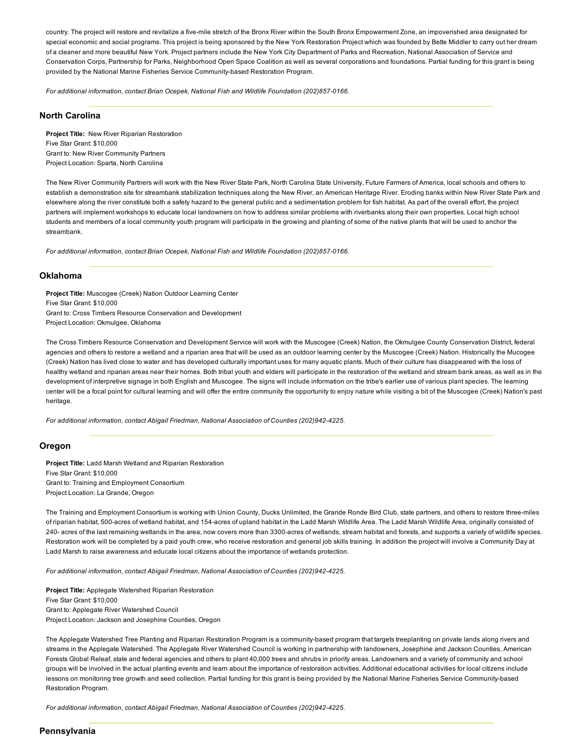country. The project will restore and revitalize a five-mile stretch of the Bronx River within the South Bronx Empowerment Zone, an impoverished area designated for special economic and social programs. This project is being sponsored by the New York Restoration Project which was founded by Bette Middler to carry out her dream of a cleaner and more beautiful New York. Project partners include the New York City Department of Parks and Recreation, National Association of Service and Conservation Corps, Partnership for Parks, Neighborhood Open Space Coalition as well as several corporations and foundations. Partial funding for this grant is being provided by the National Marine Fisheries Service Community-based Restoration Program.

*For additional information, contact Brian Ocepek, National Fish and Wildlife Foundation (202)857-0166.* 

# North Carolina

Project Title: New River Riparian Restoration Five Star Grant: \$10,000 Grant to: New River Community Partners Project Location: Sparta, North Carolina

The New River Community Partners will work with the New River State Park, North Carolina State University, Future Farmers of America, local schools and others to establish a demonstration site for streambank stabilization techniques along the New River, an American Heritage River. Eroding banks within New River State Park and elsewhere along the river constitute both a safety hazard to the general public and a sedimentation problem for fish habitat. As part of the overall effort, the project partners will implement workshops to educate local landowners on how to address similar problems with riverbanks along their own properties. Local high school students and members of a local community youth program will participate in the growing and planting of some of the native plants that will be used to anchor the streambank.

*For additional information, contact Brian Ocepek, National Fish and Wildlife Foundation (202)857-0166.* 

## Oklahoma

Project Title: Muscogee (Creek) Nation Outdoor Learning Center Five Star Grant: \$10,000 Grant to: Cross Timbers Resource Conservation and Development Project Location: Okmulgee, Oklahoma

The Cross Timbers Resource Conservation and Development Service will work with the Muscogee (Creek) Nation, the Okmulgee County Conservation District, federal agencies and others to restore a wetland and a riparian area that will be used as an outdoor learning center by the Muscogee (Creek) Nation. Historically the Mucogee (Creek) Nation has lived close to water and has developed culturally important uses for many aquatic plants. Much of their culture has disappeared with the loss of healthy wetland and riparian areas near their homes. Both tribal youth and elders will participate in the restoration of the wetland and stream bank areas, as well as in the development of interpretive signage in both English and Muscogee. The signs will include information on the tribe's earlier use of various plant species. The learning center will be a focal point for cultural learning and will offer the entire community the opportunity to enjoy nature while visiting a bit of the Muscogee (Creek) Nation's past heritage.

*For additional information, contact Abigail Friedman, National Association of Counties (202)9424225.*

### Oregon

Project Title: Ladd Marsh Wetland and Riparian Restoration Five Star Grant: \$10,000 Grant to: Training and Employment Consortium Project Location: La Grande, Oregon

The Training and Employment Consortium is working with Union County, Ducks Unlimited, the Grande Ronde Bird Club, state partners, and others to restore three-miles of riparian habitat, 500-acres of wetland habitat, and 154-acres of upland habitat in the Ladd Marsh Wildlife Area. The Ladd Marsh Wildlife Area, originally consisted of 240- acres of the last remaining wetlands in the area, now covers more than 3300-acres of wetlands, stream habitat and forests, and supports a variety of wildlife species. Restoration work will be completed by a paid youth crew, who receive restoration and general job skills training. In addition the project will involve a Community Day at Ladd Marsh to raise awareness and educate local citizens about the importance of wetlands protection.

*For additional information, contact Abigail Friedman, National Association of Counties (202)9424225.*

Project Title: Applegate Watershed Riparian Restoration Five Star Grant: \$10,000 Grant to: Applegate River Watershed Council Project Location: Jackson and Josephine Counties, Oregon

The Applegate Watershed Tree Planting and Riparian Restoration Program is a community-based program that targets treeplanting on private lands along rivers and streams in the Applegate Watershed. The Applegate River Watershed Council is working in partnership with landowners, Josephine and Jackson Counties, American Forests Global Releaf, state and federal agencies and others to plant 40,000 trees and shrubs in priority areas. Landowners and a variety of community and school groups will be involved in the actual planting events and learn about the importance of restoration activities. Additional educational activities for local citizens include lessons on monitoring tree growth and seed collection. Partial funding for this grant is being provided by the National Marine Fisheries Service Community-based Restoration Program.

*For additional information, contact Abigail Friedman, National Association of Counties (202)9424225.*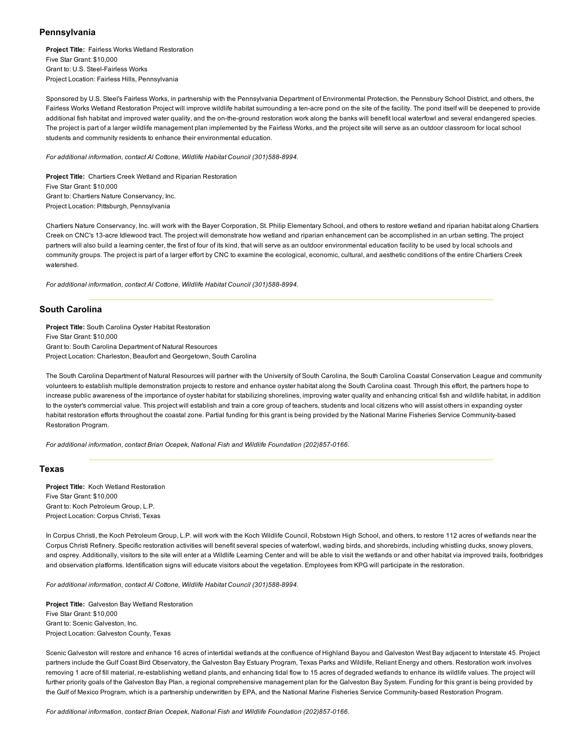## Pennsylvania

Project Title: Fairless Works Wetland Restoration Five Star Grant: \$10,000 Grant to: U.S. Steel-Fairless Works Project Location: Fairless Hills, Pennsylvania

Sponsored by U.S. Steel's Fairless Works, in partnership with the Pennsylvania Department of Environmental Protection, the Pennsbury School District, and others, the Fairless Works Wetland Restoration Project will improve wildlife habitat surrounding a ten-acre pond on the site of the facility. The pond itself will be deepened to provide additional fish habitat and improved water quality, and the on-the-ground restoration work along the banks will benefit local waterfowl and several endangered species. The project is part of a larger wildlife management plan implemented by the Fairless Works, and the project site will serve as an outdoor classroom for local school students and community residents to enhance their environmental education.

For additional information, contact Al Cottone, Wildlife Habitat Council (301)588-8994.

Project Title: Chartiers Creek Wetland and Riparian Restoration Five Star Grant: \$10,000 Grant to: Chartiers Nature Conservancy, Inc. Project Location: Pittsburgh, Pennsylvania

Chartiers Nature Conservancy, Inc. will work with the Bayer Corporation, St. Philip Elementary School, and others to restore wetland and riparian habitat along Chartiers Creek on CNC's 13acre Idlewood tract. The project will demonstrate how wetland and riparian enhancement can be accomplished in an urban setting. The project partners will also build a learning center, the first of four of its kind, that will serve as an outdoor environmental education facility to be used by local schools and community groups. The project is part of a larger effort by CNC to examine the ecological, economic, cultural, and aesthetic conditions of the entire Chartiers Creek watershed.

For additional information, contact Al Cottone, Wildlife Habitat Council (301)588-8994.

# South Carolina

Project Title: South Carolina Oyster Habitat Restoration Five Star Grant: \$10,000 Grant to: South Carolina Department of Natural Resources Project Location: Charleston, Beaufort and Georgetown, South Carolina

The South Carolina Department of Natural Resources will partner with the University of South Carolina, the South Carolina Coastal Conservation League and community volunteers to establish multiple demonstration projects to restore and enhance oyster habitat along the South Carolina coast. Through this effort, the partners hope to increase public awareness of the importance of oyster habitat for stabilizing shorelines, improving water quality and enhancing critical fish and wildlife habitat, in addition to the oyster's commercial value. This project will establish and train a core group of teachers, students and local citizens who will assist others in expanding oyster habitat restoration efforts throughout the coastal zone. Partial funding for this grant is being provided by the National Marine Fisheries Service Community-based Restoration Program.

For additional information, contact Brian Ocepek, National Fish and Wildlife Foundation (202)857-0166.

# Texas

Project Title: Koch Wetland Restoration Five Star Grant: \$10,000 Grant to: Koch Petroleum Group, L.P. Project Location: Corpus Christi, Texas

In Corpus Christi, the Koch Petroleum Group, L.P. will work with the Koch Wildlife Council, Robstown High School, and others, to restore 112 acres of wetlands near the Corpus Christi Refinery. Specific restoration activities will benefit several species of waterfowl, wading birds, and shorebirds, including whistling ducks, snowy plovers, and osprey. Additionally, visitors to the site will enter at a Wildlife Learning Center and will be able to visit the wetlands or and other habitat via improved trails, footbridges and observation platforms. Identification signs will educate visitors about the vegetation. Employees from KPG will participate in the restoration.

For additional information, contact Al Cottone, Wildlife Habitat Council (301)588-8994.

Project Title: Galveston Bay Wetland Restoration Five Star Grant: \$10,000 Grant to: Scenic Galveston, Inc. Project Location: Galveston County, Texas

Scenic Galveston will restore and enhance 16 acres of intertidal wetlands at the confluence of Highland Bayou and Galveston West Bay adjacent to Interstate 45. Project partners include the Gulf Coast Bird Observatory, the Galveston Bay Estuary Program, Texas Parks and Wildlife, Reliant Energy and others. Restoration work involves removing 1 acre of fill material, re-establishing wetland plants, and enhancing tidal flow to 15 acres of degraded wetlands to enhance its wildlife values. The project will further priority goals of the Galveston Bay Plan, a regional comprehensive management plan for the Galveston Bay System. Funding for this grant is being provided by the Gulf of Mexico Program, which is a partnership underwritten by EPA, and the National Marine Fisheries Service Community-based Restoration Program.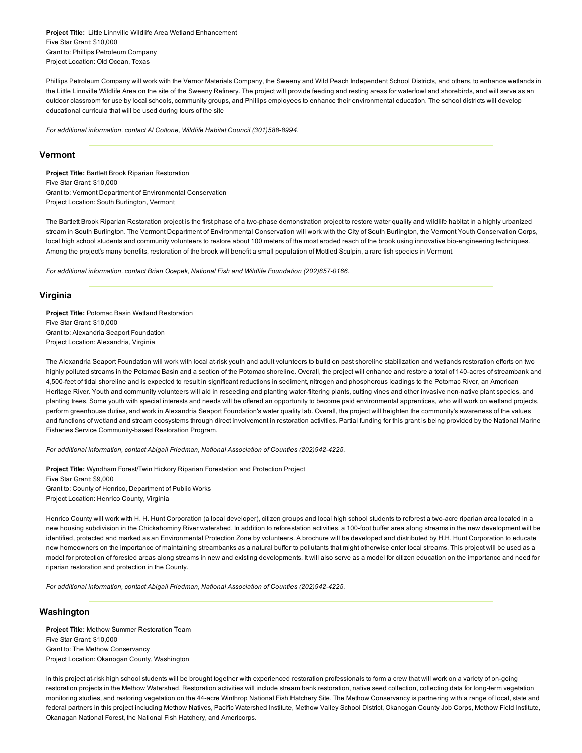Project Title: Little Linnville Wildlife Area Wetland Enhancement Five Star Grant: \$10,000 Grant to: Phillips Petroleum Company Project Location: Old Ocean, Texas

Phillips Petroleum Company will work with the Vernor Materials Company, the Sweeny and Wild Peach Independent School Districts, and others, to enhance wetlands in the Little Linnville Wildlife Area on the site of the Sweeny Refinery. The project will provide feeding and resting areas for waterfowl and shorebirds, and will serve as an outdoor classroom for use by local schools, community groups, and Phillips employees to enhance their environmental education. The school districts will develop educational curricula that will be used during tours of the site

For additional information, contact Al Cottone, Wildlife Habitat Council (301)588-8994.

# Vermont

Project Title: Bartlett Brook Riparian Restoration Five Star Grant: \$10,000 Grant to: Vermont Department of Environmental Conservation Project Location: South Burlington, Vermont

The Bartlett Brook Riparian Restoration project is the first phase of a two-phase demonstration project to restore water quality and wildlife habitat in a highly urbanized stream in South Burlington. The Vermont Department of Environmental Conservation will work with the City of South Burlington, the Vermont Youth Conservation Corps, local high school students and community volunteers to restore about 100 meters of the most eroded reach of the brook using innovative bio-engineering techniques. Among the project's many benefits, restoration of the brook will benefit a small population of Mottled Sculpin, a rare fish species in Vermont.

For additional information, contact Brian Ocepek, National Fish and Wildlife Foundation (202)857-0166.

## Virginia

Project Title: Potomac Basin Wetland Restoration Five Star Grant: \$10,000 Grant to: Alexandria Seaport Foundation Project Location: Alexandria, Virginia

The Alexandria Seaport Foundation will work with local at-risk youth and adult volunteers to build on past shoreline stabilization and wetlands restoration efforts on two highly polluted streams in the Potomac Basin and a section of the Potomac shoreline. Overall, the project will enhance and restore a total of 140-acres of streambank and 4,500-feet of tidal shoreline and is expected to result in significant reductions in sediment, nitrogen and phosphorous loadings to the Potomac River, an American Heritage River. Youth and community volunteers will aid in reseeding and planting water-filtering plants, cutting vines and other invasive non-native plant species, and planting trees. Some youth with special interests and needs will be offered an opportunity to become paid environmental apprentices, who will work on wetland projects, perform greenhouse duties, and work in Alexandria Seaport Foundation's water quality lab. Overall, the project will heighten the community's awareness of the values and functions of wetland and stream ecosystems through direct involvement in restoration activities. Partial funding for this grant is being provided by the National Marine Fisheries Service Community-based Restoration Program.

For additional information, contact Abigail Friedman, National Association of Counties (202)942-4225.

Project Title: Wyndham Forest/Twin Hickory Riparian Forestation and Protection Project Five Star Grant: \$9,000 Grant to: County of Henrico, Department of Public Works Project Location: Henrico County, Virginia

Henrico County will work with H. H. Hunt Corporation (a local developer), citizen groups and local high school students to reforest a two-acre riparian area located in a new housing subdivision in the Chickahominy River watershed. In addition to reforestation activities, a 100-foot buffer area along streams in the new development will be identified, protected and marked as an Environmental Protection Zone by volunteers. A brochure will be developed and distributed by H.H. Hunt Corporation to educate new homeowners on the importance of maintaining streambanks as a natural buffer to pollutants that might otherwise enter local streams. This project will be used as a model for protection of forested areas along streams in new and existing developments. It will also serve as a model for citizen education on the importance and need for riparian restoration and protection in the County.

*For additional information, contact Abigail Friedman, National Association of Counties (202)9424225.*

# Washington

Project Title: Methow Summer Restoration Team Five Star Grant: \$10,000 Grant to: The Methow Conservancy Project Location: Okanogan County, Washington

In this project at-risk high school students will be brought together with experienced restoration professionals to form a crew that will work on a variety of on-going restoration projects in the Methow Watershed. Restoration activities will include stream bank restoration, native seed collection, collecting data for long-term vegetation monitoring studies, and restoring vegetation on the 44-acre Winthrop National Fish Hatchery Site. The Methow Conservancy is partnering with a range of local, state and federal partners in this project including Methow Natives, Pacific Watershed Institute, Methow Valley School District, Okanogan County Job Corps, Methow Field Institute, Okanagan National Forest, the National Fish Hatchery, and Americorps.